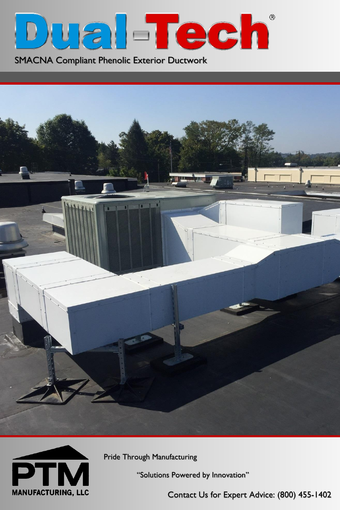

SMACNA Compliant Phenolic Exterior Ductwork





Pride Through Manufacturing

"Solutions Powered by Innovation"

Contact Us for Expert Advice: (800) 455-1402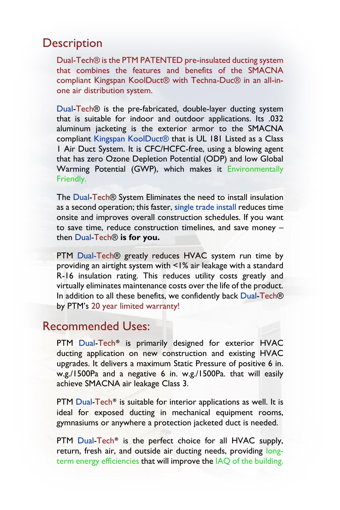### **Description**

Dual-Tech® is the PTM PATENTED pre-insulated ducting system that combines the features and benefits of the SMACNA compliant Kingspan KoolDuct® with Techna-Duc® in an all-inone air distribution system.

Dual-Tech® is the pre-fabricated, double-layer ducting system that is suitable for indoor and outdoor applications. Its .032 aluminum jacketing is the exterior armor to the SMACNA compliant Kingspan KoolDuct® that is UL 181 Listed as a Class 1 Air Duct System. It is CFC/HCFC-free, using a blowing agent that has zero Ozone Depletion Potential (ODP) and low Global Warming Potential (GWP), which makes it Environmentally Friendly.

The Dual-Tech® System Eliminates the need to install insulation as a second operation; this faster, single trade install reduces time onsite and improves overall construction schedules. If you want to save time, reduce construction timelines, and save money – then Dual-Tech® **is for you.**

PTM Dual-Tech® greatly reduces HVAC system run time by providing an airtight system with <1% air leakage with a standard R-16 insulation rating. This reduces utility costs greatly and virtually eliminates maintenance costs over the life of the product. In addition to all these benefits, we confidently back Dual-Tech® by PTM's 20 year limited warranty!

## Recommended Uses:

PTM Dual-Tech<sup>®</sup> is primarily designed for exterior HVAC ducting application on new construction and existing HVAC upgrades. It delivers a maximum Static Pressure of positive 6 in. w.g./1500Pa and a negative 6 in. w.g./1500Pa. that will easily achieve SMACNA air leakage Class 3.

PTM Dual-Tech® is suitable for interior applications as well. It is ideal for exposed ducting in mechanical equipment rooms, gymnasiums or anywhere a protection jacketed duct is needed.

PTM Dual-Tech<sup>®</sup> is the perfect choice for all HVAC supply, return, fresh air, and outside air ducting needs, providing longterm energy efficiencies that will improve the IAQ of the building.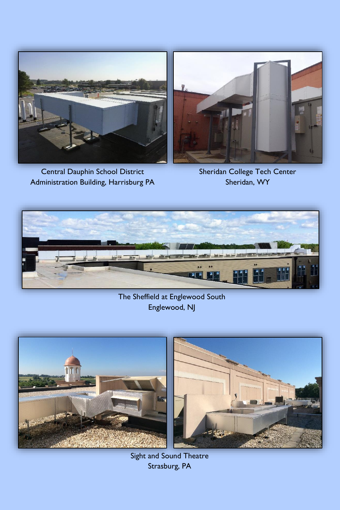

Central Dauphin School District Administration Building, Harrisburg PA



Sheridan College Tech Center Sheridan, WY



#### The Sheffield at Englewood South Englewood, NJ



Sight and Sound Theatre Strasburg, PA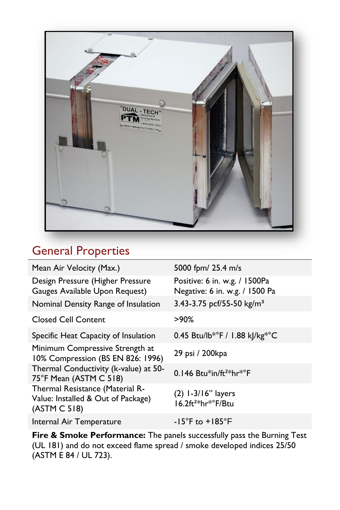

# General Properties

| Mean Air Velocity (Max.)                                                              | 5000 fpm/ 25.4 m/s                                                 |
|---------------------------------------------------------------------------------------|--------------------------------------------------------------------|
| Design Pressure (Higher Pressure<br>Gauges Available Upon Request)                    | Positive: 6 in. w.g. / 1500Pa<br>Negative: 6 in. w.g. / 1500 Pa    |
| Nominal Density Range of Insulation                                                   | 3.43-3.75 pcf/55-50 kg/m <sup>3</sup>                              |
| <b>Closed Cell Content</b>                                                            | $>90\%$                                                            |
| Specific Heat Capacity of Insulation                                                  | 0.45 Btu/lb*°F / 1.88 kJ/kg*°C                                     |
| Minimum Compressive Strength at<br>10% Compression (BS EN 826: 1996)                  | 29 psi / 200kpa                                                    |
| Thermal Conductivity (k-value) at 50-<br>75°F Mean (ASTM C 518)                       | 0.146 Btu*in/ft <sup>2*</sup> hr*°F                                |
| Thermal Resistance (Material R-<br>Value: Installed & Out of Package)<br>(ASTM C 518) | $(2)$ 1-3/16" layers<br>16.2ft <sup>2*</sup> hr <sup>*</sup> F/Btu |
| Internal Air Temperature                                                              | $-15^{\circ}$ F to $+185^{\circ}$ F                                |

**Fire & Smoke Performance:** The panels successfully pass the Burning Test (UL 181) and do not exceed flame spread / smoke developed indices 25/50 (ASTM E 84 / UL 723).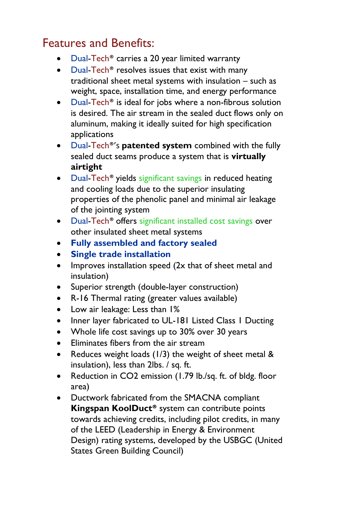# Features and Benefits:

- Dual-Tech® carries a 20 year limited warranty
- Dual-Tech<sup>®</sup> resolves issues that exist with many traditional sheet metal systems with insulation – such as weight, space, installation time, and energy performance
- Dual-Tech<sup>®</sup> is ideal for jobs where a non-fibrous solution is desired. The air stream in the sealed duct flows only on aluminum, making it ideally suited for high specification applications
- Dual-Tech®'s **patented system** combined with the fully sealed duct seams produce a system that is **virtually airtight**
- Dual-Tech® yields significant savings in reduced heating and cooling loads due to the superior insulating properties of the phenolic panel and minimal air leakage of the jointing system
- Dual-Tech<sup>®</sup> offers significant installed cost savings over other insulated sheet metal systems
- **Fully assembled and factory sealed**
- **Single trade installation**
- Improves installation speed (2x that of sheet metal and insulation)
- Superior strength (double-layer construction)
- R-16 Thermal rating (greater values available)
- Low air leakage: Less than 1%
- Inner layer fabricated to UL-181 Listed Class 1 Ducting
- Whole life cost savings up to 30% over 30 years
- Eliminates fibers from the air stream
- Reduces weight loads (1/3) the weight of sheet metal & insulation), less than 2lbs. / sq. ft.
- Reduction in CO2 emission (1.79 lb./sq. ft. of bldg. floor area)
- Ductwork fabricated from the SMACNA compliant **Kingspan KoolDuct®** system can contribute points towards achieving credits, including pilot credits, in many of the LEED (Leadership in Energy & Environment Design) rating systems, developed by the USBGC (United States Green Building Council)